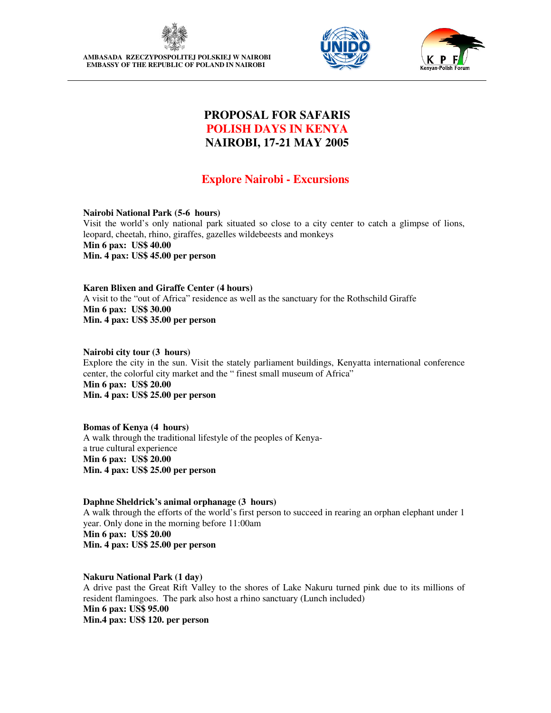

**AMBASADA RZECZYPOSPOLITEJ POLSKIEJ W NAIROBI EMBASSY OF THE REPUBLIC OF POLAND IN NAIROBI** 





# **PROPOSAL FOR SAFARIS POLISH DAYS IN KENYA NAIROBI, 17-21 MAY 2005**

# **Explore Nairobi - Excursions**

**Nairobi National Park (5-6 hours)**  Visit the world's only national park situated so close to a city center to catch a glimpse of lions, leopard, cheetah, rhino, giraffes, gazelles wildebeests and monkeys **Min 6 pax: US\$ 40.00 Min. 4 pax: US\$ 45.00 per person** 

**Karen Blixen and Giraffe Center (4 hours)** A visit to the "out of Africa" residence as well as the sanctuary for the Rothschild Giraffe **Min 6 pax: US\$ 30.00 Min. 4 pax: US\$ 35.00 per person**

**Nairobi city tour (3 hours)**  Explore the city in the sun. Visit the stately parliament buildings, Kenyatta international conference center, the colorful city market and the " finest small museum of Africa" **Min 6 pax: US\$ 20.00 Min. 4 pax: US\$ 25.00 per person**

**Bomas of Kenya (4 hours)**  A walk through the traditional lifestyle of the peoples of Kenyaa true cultural experience **Min 6 pax: US\$ 20.00 Min. 4 pax: US\$ 25.00 per person** 

**Daphne Sheldrick's animal orphanage (3 hours)**  A walk through the efforts of the world's first person to succeed in rearing an orphan elephant under 1 year. Only done in the morning before 11:00am **Min 6 pax: US\$ 20.00 Min. 4 pax: US\$ 25.00 per person**

**Nakuru National Park (1 day)**  A drive past the Great Rift Valley to the shores of Lake Nakuru turned pink due to its millions of resident flamingoes. The park also host a rhino sanctuary (Lunch included) **Min 6 pax: US\$ 95.00 Min.4 pax: US\$ 120. per person**